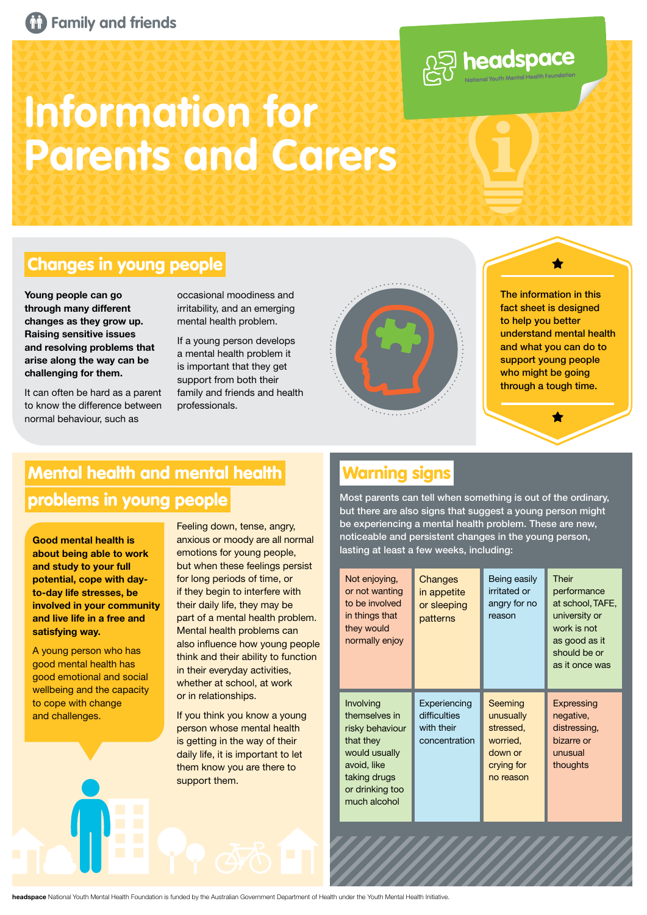



# **Information for Parents and Carers**

### Changes in young people

**Young people can go through many different changes as they grow up. Raising sensitive issues and resolving problems that arise along the way can be challenging for them.**

It can often be hard as a parent to know the difference between normal behaviour, such as

occasional moodiness and irritability, and an emerging mental health problem.

If a young person develops a mental health problem it is important that they get support from both their family and friends and health professionals.



The information in this fact sheet is designed to help you better understand mental health and what you can do to support young people who might be going through a tough time.

## Mental health and mental health Warning signs problems in young people

**Good mental health is about being able to work and study to your full potential, cope with dayto-day life stresses, be involved in your community and live life in a free and satisfying way.** 

A young person who has good mental health has good emotional and social wellbeing and the capacity to cope with change and challenges.

Feeling down, tense, angry, anxious or moody are all normal emotions for young people, but when these feelings persist for long periods of time, or if they begin to interfere with their daily life, they may be part of a mental health problem. Mental health problems can also influence how young people think and their ability to function in their everyday activities, whether at school, at work or in relationships.

If you think you know a young person whose mental health is getting in the way of their daily life, it is important to let them know you are there to support them.

Most parents can tell when something is out of the ordinary, but there are also signs that suggest a young person might be experiencing a mental health problem. These are new, noticeable and persistent changes in the young person, lasting at least a few weeks, including:

| Not enjoying,<br>or not wanting<br>to be involved<br>in things that<br>they would<br>normally enjoy                                           | Changes<br>in appetite<br>or sleeping<br>patterns           | Being easily<br>irritated or<br>angry for no<br>reason                              | Their<br>performance<br>at school, TAFE,<br>university or<br>work is not<br>as good as it<br>should be or<br>as it once was |
|-----------------------------------------------------------------------------------------------------------------------------------------------|-------------------------------------------------------------|-------------------------------------------------------------------------------------|-----------------------------------------------------------------------------------------------------------------------------|
| Involving<br>themselves in<br>risky behaviour<br>that they<br>would usually<br>avoid, like<br>taking drugs<br>or drinking too<br>much alcohol | Experiencing<br>difficulties<br>with their<br>concentration | Seeming<br>unusually<br>stressed,<br>worried,<br>down or<br>crying for<br>no reason | Expressing<br>negative,<br>distressing,<br>bizarre or<br>unusual<br>thoughts                                                |